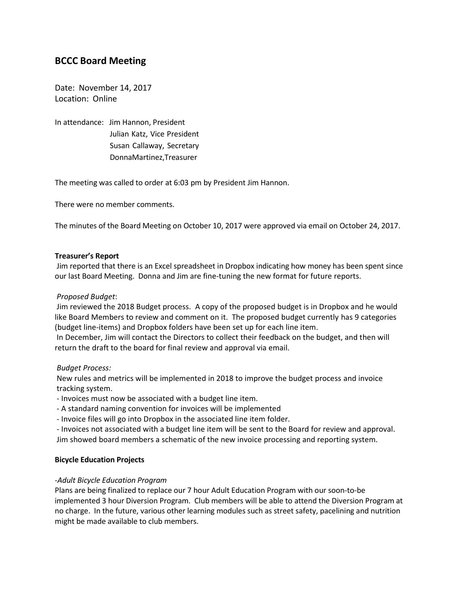# **BCCC Board Meeting**

Date: November 14, 2017 Location: Online

In attendance: Jim Hannon, President Julian Katz, Vice President Susan Callaway, Secretary DonnaMartinez,Treasurer

The meeting was called to order at 6:03 pm by President Jim Hannon.

There were no member comments.

The minutes of the Board Meeting on October 10, 2017 were approved via email on October 24, 2017.

# **Treasurer's Report**

Jim reported that there is an Excel spreadsheet in Dropbox indicating how money has been spent since our last Board Meeting. Donna and Jim are fine-tuning the new format for future reports.

# *Proposed Budget*:

Jim reviewed the 2018 Budget process. A copy of the proposed budget is in Dropbox and he would like Board Members to review and comment on it. The proposed budget currently has 9 categories (budget line-items) and Dropbox folders have been set up for each line item.

In December, Jim will contact the Directors to collect their feedback on the budget, and then will return the draft to the board for final review and approval via email.

#### *Budget Process:*

New rules and metrics will be implemented in 2018 to improve the budget process and invoice tracking system.

- Invoices must now be associated with a budget line item.
- A standard naming convention for invoices will be implemented
- Invoice files will go into Dropbox in the associated line item folder.

- Invoices not associated with a budget line item will be sent to the Board for review and approval. Jim showed board members a schematic of the new invoice processing and reporting system.

#### **Bicycle Education Projects**

#### *-Adult Bicycle Education Program*

Plans are being finalized to replace our 7 hour Adult Education Program with our soon-to-be implemented 3 hour Diversion Program. Club members will be able to attend the Diversion Program at no charge. In the future, various other learning modules such as street safety, pacelining and nutrition might be made available to club members.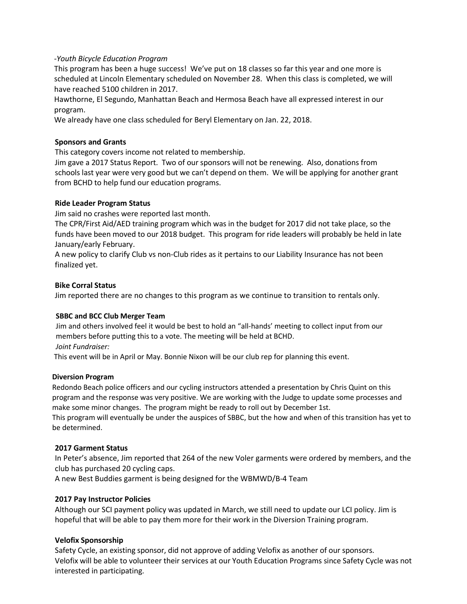# *-Youth Bicycle Education Program*

 This program has been a huge success! We've put on 18 classes so far this year and one more is scheduled at Lincoln Elementary scheduled on November 28. When this class is completed, we will have reached 5100 children in 2017.

 Hawthorne, El Segundo, Manhattan Beach and Hermosa Beach have all expressed interest in our program.

We already have one class scheduled for Beryl Elementary on Jan. 22, 2018.

# **Sponsors and Grants**

This category covers income not related to membership.

Jim gave a 2017 Status Report. Two of our sponsors will not be renewing. Also, donations from schools last year were very good but we can't depend on them. We will be applying for another grant from BCHD to help fund our education programs.

# **Ride Leader Program Status**

Jim said no crashes were reported last month.

The CPR/First Aid/AED training program which was in the budget for 2017 did not take place, so the funds have been moved to our 2018 budget. This program for ride leaders will probably be held in late January/early February.

A new policy to clarify Club vs non-Club rides as it pertains to our Liability Insurance has not been finalized yet.

# **Bike Corral Status**

Jim reported there are no changes to this program as we continue to transition to rentals only.

#### **SBBC and BCC Club Merger Team**

 Jim and others involved feel it would be best to hold an "all-hands' meeting to collect input from our members before putting this to a vote. The meeting will be held at BCHD. *Joint Fundraiser:*

This event will be in April or May. Bonnie Nixon will be our club rep for planning this event.

### **Diversion Program**

Redondo Beach police officers and our cycling instructors attended a presentation by Chris Quint on this program and the response was very positive. We are working with the Judge to update some processes and make some minor changes. The program might be ready to roll out by December 1st. This program will eventually be under the auspices of SBBC, but the how and when of this transition has yet to

be determined.

# **2017 Garment Status**

In Peter's absence, Jim reported that 264 of the new Voler garments were ordered by members, and the club has purchased 20 cycling caps.

A new Best Buddies garment is being designed for the WBMWD/B-4 Team

#### **2017 Pay Instructor Policies**

Although our SCI payment policy was updated in March, we still need to update our LCI policy. Jim is hopeful that will be able to pay them more for their work in the Diversion Training program.

# **Velofix Sponsorship**

Safety Cycle, an existing sponsor, did not approve of adding Velofix as another of our sponsors. Velofix will be able to volunteer their services at our Youth Education Programs since Safety Cycle was not interested in participating.